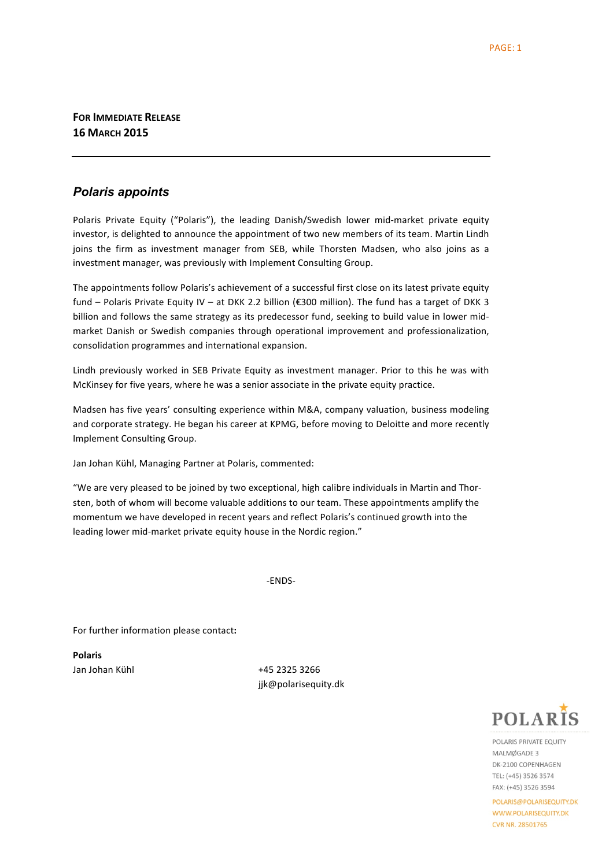**FOR IMMEDIATE RELEASE 16 MARCH 2015**

## *Polaris appoints*

Polaris Private Equity ("Polaris"), the leading Danish/Swedish lower mid-market private equity investor, is delighted to announce the appointment of two new members of its team. Martin Lindh joins the firm as investment manager from SEB, while Thorsten Madsen, who also joins as a investment manager, was previously with Implement Consulting Group.

The appointments follow Polaris's achievement of a successful first close on its latest private equity fund – Polaris Private Equity IV – at DKK 2.2 billion (€300 million). The fund has a target of DKK 3 billion and follows the same strategy as its predecessor fund, seeking to build value in lower midmarket Danish or Swedish companies through operational improvement and professionalization, consolidation programmes and international expansion.

Lindh previously worked in SEB Private Equity as investment manager. Prior to this he was with McKinsey for five years, where he was a senior associate in the private equity practice.

Madsen has five years' consulting experience within M&A, company valuation, business modeling and corporate strategy. He began his career at KPMG, before moving to Deloitte and more recently Implement Consulting Group.

Jan Johan Kühl, Managing Partner at Polaris, commented:

"We are very pleased to be joined by two exceptional, high calibre individuals in Martin and Thorsten, both of whom will become valuable additions to our team. These appointments amplify the momentum we have developed in recent years and reflect Polaris's continued growth into the leading lower mid-market private equity house in the Nordic region."

-ENDS-

For further information please contact:

**Polaris**

Jan Johan Kühl +45 2325 3266 jjk@polarisequity.dk



POLARIS PRIVATE FOUITY MAI MØGADE 3 DK-2100 COPENHAGEN TEL: (+45) 3526 3574 FAX: (+45) 3526 3594

POLARIS@POLARISEQUITY.DK WWW.POLARISEQUITY.DK **CVR NR. 28501765**